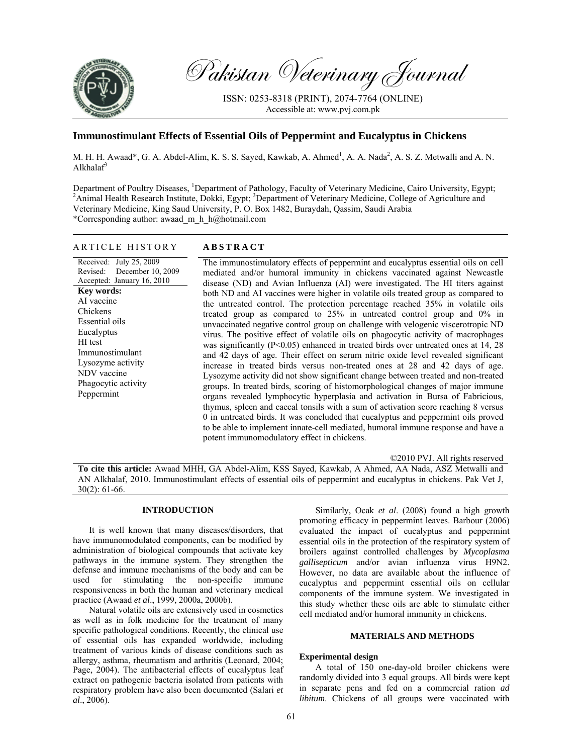

Pakistan Veterinary Journal

ISSN: 0253-8318 (PRINT), 2074-7764 (ONLINE) Accessible at: www.pvj.com.pk

# **Immunostimulant Effects of Essential Oils of Peppermint and Eucalyptus in Chickens**

M. H. H. Awaad\*, G. A. Abdel-Alim, K. S. S. Sayed, Kawkab, A. Ahmed<sup>1</sup>, A. A. Nada<sup>2</sup>, A. S. Z. Metwalli and A. N. Alkhala $f^3$ 

Department of Poultry Diseases, <sup>1</sup>Department of Pathology, Faculty of Veterinary Medicine, Cairo University, Egypt;<br><sup>2</sup>Animal Health Research Institute, Dakki, Egypt: <sup>3</sup>Department of Veterinary Medicine, Callege of Agric Animal Health Research Institute, Dokki, Egypt; <sup>3</sup>Department of Veterinary Medicine, College of Agriculture and Veterinary Medicine, King Saud University, P. O. Box 1482, Buraydah, Qassim, Saudi Arabia \*Corresponding author: awaad\_m\_h\_h@hotmail.com

## ARTICLE HISTORY **ABSTRACT**

Received: July 25, 2009 Revised: December 10, 2009 Accepted: January 16, 2010 **Key words:**  AI vaccine Chickens Essential oils **Eucalyptus** HI test Immunostimulant Lysozyme activity NDV vaccine Phagocytic activity Peppermint

The immunostimulatory effects of peppermint and eucalyptus essential oils on cell mediated and/or humoral immunity in chickens vaccinated against Newcastle disease (ND) and Avian Influenza (AI) were investigated. The HI titers against both ND and AI vaccines were higher in volatile oils treated group as compared to the untreated control. The protection percentage reached 35% in volatile oils treated group as compared to 25% in untreated control group and 0% in unvaccinated negative control group on challenge with velogenic viscerotropic ND virus. The positive effect of volatile oils on phagocytic activity of macrophages was significantly ( $P<0.05$ ) enhanced in treated birds over untreated ones at 14, 28 and 42 days of age. Their effect on serum nitric oxide level revealed significant increase in treated birds versus non-treated ones at 28 and 42 days of age. Lysozyme activity did not show significant change between treated and non-treated groups. In treated birds, scoring of histomorphological changes of major immune organs revealed lymphocytic hyperplasia and activation in Bursa of Fabricious, thymus, spleen and caecal tonsils with a sum of activation score reaching 8 versus 0 in untreated birds. It was concluded that eucalyptus and peppermint oils proved to be able to implement innate-cell mediated, humoral immune response and have a potent immunomodulatory effect in chickens.

©2010 PVJ. All rights reserved

**To cite this article:** Awaad MHH, GA Abdel-Alim, KSS Sayed, Kawkab, A Ahmed, AA Nada, ASZ Metwalli and AN Alkhalaf, 2010. Immunostimulant effects of essential oils of peppermint and eucalyptus in chickens. Pak Vet J, 30(2): 61-66.

## **INTRODUCTION**

It is well known that many diseases/disorders, that have immunomodulated components, can be modified by administration of biological compounds that activate key pathways in the immune system. They strengthen the defense and immune mechanisms of the body and can be used for stimulating the non-specific immune responsiveness in both the human and veterinary medical practice (Awaad *et al*., 1999, 2000a, 2000b).

Natural volatile oils are extensively used in cosmetics as well as in folk medicine for the treatment of many specific pathological conditions. Recently, the clinical use of essential oils has expanded worldwide, including treatment of various kinds of disease conditions such as allergy, asthma, rheumatism and arthritis (Leonard, 2004; Page, 2004). The antibacterial effects of eucalyptus leaf extract on pathogenic bacteria isolated from patients with respiratory problem have also been documented (Salari *et al*., 2006).

Similarly, Ocak *et al*. (2008) found a high growth promoting efficacy in peppermint leaves. Barbour (2006) evaluated the impact of eucalyptus and peppermint essential oils in the protection of the respiratory system of broilers against controlled challenges by *Mycoplasma gallisepticum* and/or avian influenza virus H9N2. However, no data are available about the influence of eucalyptus and peppermint essential oils on cellular components of the immune system. We investigated in this study whether these oils are able to stimulate either cell mediated and/or humoral immunity in chickens.

### **MATERIALS AND METHODS**

### **Experimental design**

A total of 150 one-day-old broiler chickens were randomly divided into 3 equal groups. All birds were kept in separate pens and fed on a commercial ration *ad libitum*. Chickens of all groups were vaccinated with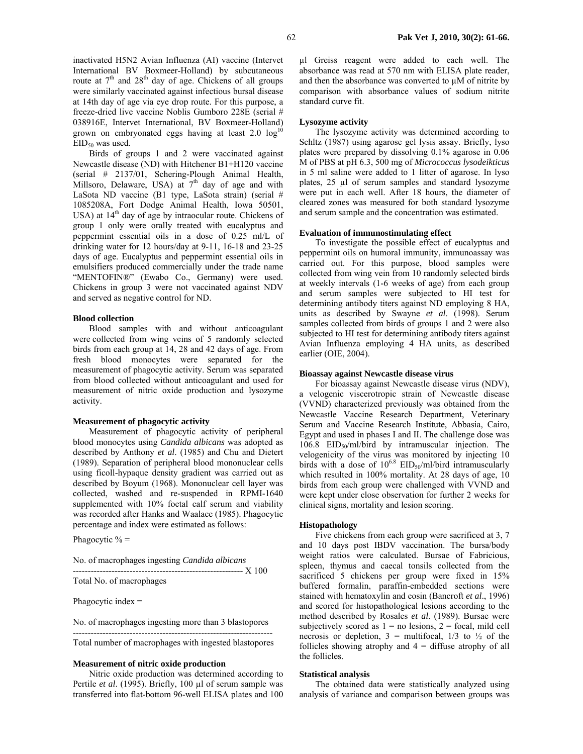inactivated H5N2 Avian Influenza (AI) vaccine (Intervet International BV Boxmeer-Holland) by subcutaneous route at  $7<sup>th</sup>$  and  $28<sup>th</sup>$  day of age. Chickens of all groups were similarly vaccinated against infectious bursal disease at 14th day of age via eye drop route. For this purpose, a freeze-dried live vaccine Noblis Gumboro 228E (serial # 038916E, Intervet International, BV Boxmeer-Holland) grown on embryonated eggs having at least  $2.0 \log^{10}$ EID<sub>50</sub> was used.

Birds of groups 1 and 2 were vaccinated against Newcastle disease (ND) with Hitchener B1+H120 vaccine (serial # 2137/01, Schering-Plough Animal Health, Millsoro, Delaware, USA) at  $7<sup>th</sup>$  day of age and with LaSota ND vaccine (B1 type, LaSota strain) (serial # 1085208A, Fort Dodge Animal Health, Iowa 50501, USA) at  $14<sup>th</sup>$  day of age by intraocular route. Chickens of group 1 only were orally treated with eucalyptus and peppermint essential oils in a dose of 0.25 ml/L of drinking water for 12 hours/day at 9-11, 16-18 and 23-25 days of age. Eucalyptus and peppermint essential oils in emulsifiers produced commercially under the trade name "MENTOFIN®" (Ewabo Co., Germany) were used. Chickens in group 3 were not vaccinated against NDV and served as negative control for ND.

#### **Blood collection**

Blood samples with and without anticoagulant were collected from wing veins of 5 randomly selected birds from each group at 14, 28 and 42 days of age. From fresh blood monocytes were separated for the measurement of phagocytic activity. Serum was separated from blood collected without anticoagulant and used for measurement of nitric oxide production and lysozyme activity.

#### **Measurement of phagocytic activity**

Measurement of phagocytic activity of peripheral blood monocytes using *Candida albicans* was adopted as described by Anthony *et al*. (1985) and Chu and Dietert (1989). Separation of peripheral blood mononuclear cells using ficoll-hypaque density gradient was carried out as described by Boyum (1968). Mononuclear cell layer was collected, washed and re-suspended in RPMI-1640 supplemented with 10% foetal calf serum and viability was recorded after Hanks and Waalace (1985). Phagocytic percentage and index were estimated as follows:

Phagocytic  $% =$ 

|  | No. of macrophages ingesting Candida albicans |  |
|--|-----------------------------------------------|--|
|  |                                               |  |

--------------------------------------------------------- X 100 Total No. of macrophages

Phagocytic index =

No. of macrophages ingesting more than 3 blastopores

Total number of macrophages with ingested blastopores

-------------------------------------------------------------------

#### **Measurement of nitric oxide production**

Nitric oxide production was determined according to Pertile *et al.* (1995). Briefly, 100 µl of serum sample was transferred into flat-bottom 96-well ELISA plates and 100

µl Greiss reagent were added to each well. The absorbance was read at 570 nm with ELISA plate reader, and then the absorbance was converted to µM of nitrite by comparison with absorbance values of sodium nitrite standard curve fit.

#### **Lysozyme activity**

The lysozyme activity was determined according to Schltz (1987) using agarose gel lysis assay. Briefly, lyso plates were prepared by dissolving 0.1% agarose in 0.06 M of PBS at pH 6.3, 500 mg of *Micrococcus lysodeikticus* in 5 ml saline were added to 1 litter of agarose. In lyso plates, 25 µl of serum samples and standard lysozyme were put in each well. After 18 hours, the diameter of cleared zones was measured for both standard lysozyme and serum sample and the concentration was estimated.

#### **Evaluation of immunostimulating effect**

To investigate the possible effect of eucalyptus and peppermint oils on humoral immunity, immunoassay was carried out. For this purpose, blood samples were collected from wing vein from 10 randomly selected birds at weekly intervals (1-6 weeks of age) from each group and serum samples were subjected to HI test for determining antibody titers against ND employing 8 HA, units as described by Swayne *et al*. (1998). Serum samples collected from birds of groups 1 and 2 were also subjected to HI test for determining antibody titers against Avian Influenza employing 4 HA units, as described earlier (OIE, 2004).

#### **Bioassay against Newcastle disease virus**

For bioassay against Newcastle disease virus (NDV), a velogenic viscerotropic strain of Newcastle disease (VVND) characterized previously was obtained from the Newcastle Vaccine Research Department, Veterinary Serum and Vaccine Research Institute, Abbasia, Cairo, Egypt and used in phases I and II. The challenge dose was 106.8 EID<sub>50</sub>/ml/bird by intramuscular injection. The velogenicity of the virus was monitored by injecting 10 birds with a dose of  $10^{6.8}$  EID<sub>50</sub>/ml/bird intramuscularly which resulted in 100% mortality. At 28 days of age, 10 birds from each group were challenged with VVND and were kept under close observation for further 2 weeks for clinical signs, mortality and lesion scoring.

#### **Histopathology**

Five chickens from each group were sacrificed at 3, 7 and 10 days post IBDV vaccination. The bursa/body weight ratios were calculated. Bursae of Fabricious, spleen, thymus and caecal tonsils collected from the sacrificed 5 chickens per group were fixed in  $15\%$ buffered formalin, paraffin-embedded sections were stained with hematoxylin and eosin (Bancroft *et al*., 1996) and scored for histopathological lesions according to the method described by Rosales *et al*. (1989). Bursae were subjectively scored as  $1 =$  no lesions,  $2 =$  focal, mild cell necrosis or depletion,  $3 =$  multifocal,  $1/3$  to  $\frac{1}{2}$  of the follicles showing atrophy and  $4 =$  diffuse atrophy of all the follicles.

#### **Statistical analysis**

The obtained data were statistically analyzed using analysis of variance and comparison between groups was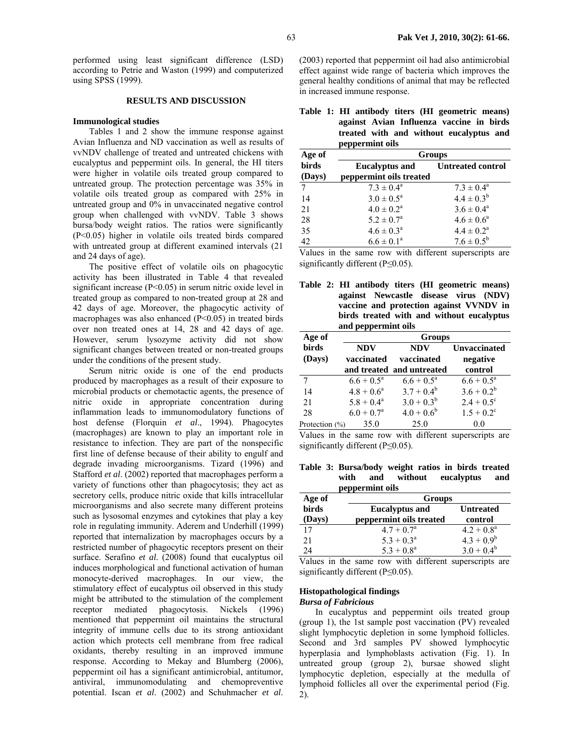performed using least significant difference (LSD) according to Petrie and Waston (1999) and computerized using SPSS (1999).

### **RESULTS AND DISCUSSION**

## **Immunological studies**

Tables 1 and 2 show the immune response against Avian Influenza and ND vaccination as well as results of vvNDV challenge of treated and untreated chickens with eucalyptus and peppermint oils. In general, the HI titers were higher in volatile oils treated group compared to untreated group. The protection percentage was 35% in volatile oils treated group as compared with 25% in untreated group and 0% in unvaccinated negative control group when challenged with vvNDV. Table 3 shows bursa/body weight ratios. The ratios were significantly (P<0.05) higher in volatile oils treated birds compared with untreated group at different examined intervals (21 and 24 days of age).

The positive effect of volatile oils on phagocytic activity has been illustrated in Table 4 that revealed significant increase (P<0.05) in serum nitric oxide level in treated group as compared to non-treated group at 28 and 42 days of age. Moreover, the phagocytic activity of macrophages was also enhanced (P<0.05) in treated birds over non treated ones at 14, 28 and 42 days of age. However, serum lysozyme activity did not show significant changes between treated or non-treated groups under the conditions of the present study.

Serum nitric oxide is one of the end products produced by macrophages as a result of their exposure to microbial products or chemotactic agents, the presence of nitric oxide in appropriate concentration during inflammation leads to immunomodulatory functions of host defense (Florquin *et al*., 1994). Phagocytes (macrophages) are known to play an important role in resistance to infection. They are part of the nonspecific first line of defense because of their ability to engulf and degrade invading microorganisms. Tizard (1996) and Stafford *et al*. (2002) reported that macrophages perform a variety of functions other than phagocytosis; they act as secretory cells, produce nitric oxide that kills intracellular microorganisms and also secrete many different proteins such as lysosomal enzymes and cytokines that play a key role in regulating immunity. Aderem and Underhill (1999) reported that internalization by macrophages occurs by a restricted number of phagocytic receptors present on their surface. Serafino *et al.* (2008) found that eucalyptus oil induces morphological and functional activation of human monocyte-derived macrophages. In our view, the stimulatory effect of eucalyptus oil observed in this study might be attributed to the stimulation of the complement receptor mediated phagocytosis. Nickels (1996) mentioned that peppermint oil maintains the structural integrity of immune cells due to its strong antioxidant action which protects cell membrane from free radical oxidants, thereby resulting in an improved immune response. According to Mekay and Blumberg (2006), peppermint oil has a significant antimicrobial, antitumor, antiviral, immunomodulating and chemopreventive potential. Iscan *et al*. (2002) and Schuhmacher *et al*.

(2003) reported that peppermint oil had also antimicrobial effect against wide range of bacteria which improves the general healthy conditions of animal that may be reflected in increased immune response.

|  | Table 1: HI antibody titers (HI geometric means) |
|--|--------------------------------------------------|
|  | against Avian Influenza vaccine in birds         |
|  | treated with and without eucalyptus and          |
|  | peppermint oils                                  |

| Age of | <b>Groups</b>           |                          |  |
|--------|-------------------------|--------------------------|--|
| birds  | <b>Eucalyptus and</b>   | <b>Untreated control</b> |  |
| (Days) | peppermint oils treated |                          |  |
|        | $7.3 \pm 0.4^a$         | $7.3 \pm 0.4^a$          |  |
| 14     | $3.0 \pm 0.5^{\circ}$   | $4.4 \pm 0.3^{b}$        |  |
| 21     | $4.0 \pm 0.2^a$         | $3.6 \pm 0.4^a$          |  |
| 28     | $5.2 \pm 0.7^{\circ}$   | $4.6 \pm 0.6^a$          |  |
| 35     | $4.6 \pm 0.3^{\circ}$   | $4.4 \pm 0.2^{\rm a}$    |  |
| 42.    | $6.6 \pm 0.1^a$         | $7.6 \pm 0.5^b$          |  |

Values in the same row with different superscripts are significantly different (P≤0.05).

**Table 2: HI antibody titers (HI geometric means) against Newcastle disease virus (NDV) vaccine and protection against VVNDV in birds treated with and without eucalyptus and peppermint oils** 

| Age of          | Groups                   |                          |                                 |  |
|-----------------|--------------------------|--------------------------|---------------------------------|--|
| birds<br>(Days) | <b>NDV</b><br>vaccinated | <b>NDV</b><br>vaccinated | <b>Unvaccinated</b><br>negative |  |
|                 | and treated              | and untreated            | control                         |  |
|                 | $6.6 + 0.5^a$            | $6.6 + 0.5^a$            | $6.6 + 0.5^a$                   |  |
| 14              | $4.8 + 0.6^a$            | $3.7 + 0.4^b$            | $3.6 + 0.2^b$                   |  |
| 21              | $5.8 + 0.4^a$            | $3.0 + 0.3^b$            | $2.4 + 0.5^{\circ}$             |  |
| 28              | $6.0 + 0.7a$             | $4.0 + 0.6^b$            | $1.5 + 0.2^c$                   |  |
| Protection (%)  | 35.0                     | 25.0                     | 0.0                             |  |

Values in the same row with different superscripts are significantly different (P≤0.05).

**Table 3: Bursa/body weight ratios in birds treated with and without eucalyptus and** 

|        | peppermint oils         |                  |
|--------|-------------------------|------------------|
| Age of | <b>Groups</b>           |                  |
| birds  | <b>Eucalyptus and</b>   | <b>Untreated</b> |
| (Days) | peppermint oils treated | control          |
| 17     | $4.7 + 0.7a$            | $4.2 + 0.8^a$    |
| 21     | $5.3 + 0.3^a$           | $4.3 + 0.9^b$    |
| 24     | $5.3 + 0.8^a$           | $3.0 + 0.4^b$    |

Values in the same row with different superscripts are significantly different (P≤0.05).

## **Histopathological findings**

## *Bursa of Fabricious*

In eucalyptus and peppermint oils treated group (group 1), the 1st sample post vaccination (PV) revealed slight lymphocytic depletion in some lymphoid follicles. Second and 3rd samples PV showed lymphocytic hyperplasia and lymphoblasts activation (Fig. 1). In untreated group (group 2), bursae showed slight lymphocytic depletion, especially at the medulla of lymphoid follicles all over the experimental period (Fig. 2).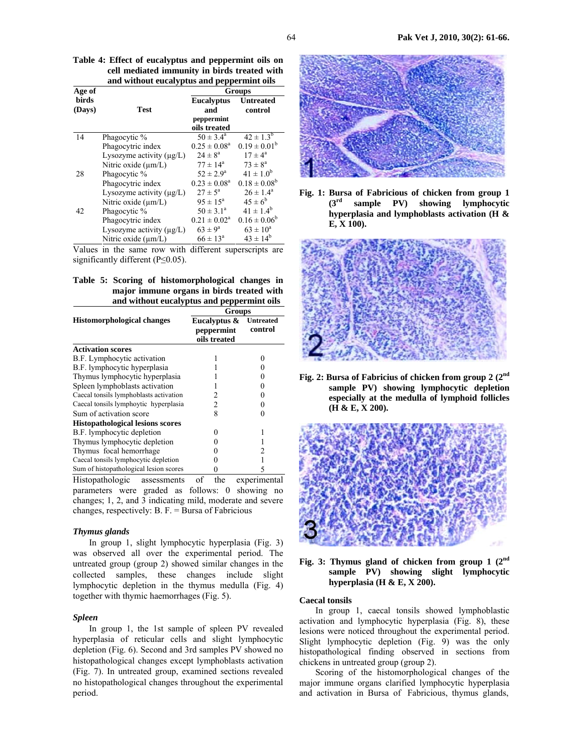**Table 4: Effect of eucalyptus and peppermint oils on cell mediated immunity in birds treated with and without eucalyptus and peppermint oils** 

| Age of                 |                               | .pp<br><b>Groups</b>                   |                             |
|------------------------|-------------------------------|----------------------------------------|-----------------------------|
| <b>birds</b><br>(Days) | Test                          | <b>Eucalyptus</b><br>and<br>peppermint | <b>Untreated</b><br>control |
|                        |                               | oils treated                           |                             |
| 14                     | Phagocytic %                  | $50 \pm 3.4^{\circ}$                   | $42 \pm 1.3^{b}$            |
|                        | Phagocytric index             | $0.25 \pm 0.08^a$                      | $0.19 \pm 0.01^b$           |
|                        | Lysozyme activity $(\mu g/L)$ | $2.4 \pm 8^a$                          | $17 \pm 4^{\circ}$          |
|                        | Nitric oxide $(\mu m/L)$      | $77 \pm 14^{\circ}$                    | $73 \pm 8^a$                |
| 28                     | Phagocytic %                  | $52 \pm 2.9^{\circ}$                   | $41 \pm 1.0^{b}$            |
|                        | Phagocytric index             | $0.23 \pm 0.08^a$                      | $0.18 \pm 0.08^b$           |
|                        | Lysozyme activity (µg/L)      | $27 \pm 5^{\circ}$                     | $26 \pm 1.4^a$              |
|                        | Nitric oxide $(\mu m/L)$      | $95 \pm 15^{\circ}$                    | $45 \pm 6^b$                |
| 42                     | Phagocytic %                  | $50 \pm 3.1^{\circ}$                   | $41 \pm 1.4^b$              |
|                        | Phagocytric index             | $0.21 \pm 0.02^a$                      | $0.16 \pm 0.06^b$           |
|                        | Lysozyme activity $(\mu g/L)$ | $63 \pm 9^{\rm a}$                     | $63 \pm 10^a$               |
|                        | Nitric oxide $(\mu m/L)$      | $66 \pm 13^{\circ}$                    | $43 \pm 14^{6}$             |

Values in the same row with different superscripts are significantly different (P≤0.05).

| Table 5: Scoring of histomorphological changes in |  |  |
|---------------------------------------------------|--|--|
| major immune organs in birds treated with         |  |  |
| and without eucalyptus and peppermint oils        |  |  |

|                                         | Groups                                     |                             |  |
|-----------------------------------------|--------------------------------------------|-----------------------------|--|
| <b>Histomorphological changes</b>       | Eucalyptus &<br>peppermint<br>oils treated | <b>Untreated</b><br>control |  |
| <b>Activation scores</b>                |                                            |                             |  |
| B.F. Lymphocytic activation             |                                            |                             |  |
| B.F. lymphocytic hyperplasia            |                                            |                             |  |
| Thymus lymphocytic hyperplasia          |                                            |                             |  |
| Spleen lymphoblasts activation          |                                            |                             |  |
| Caecal tonsils lymphoblasts activation  | 2                                          |                             |  |
| Caecal tonsils lymphoytic hyperplasia   | 2                                          |                             |  |
| Sum of activation score                 | 8                                          |                             |  |
| <b>Histopathological lesions scores</b> |                                            |                             |  |
| B.F. lymphocytic depletion              |                                            |                             |  |
| Thymus lymphocytic depletion            |                                            |                             |  |
| Thymus focal hemorrhage                 |                                            |                             |  |
| Caecal tonsils lymphocytic depletion    |                                            |                             |  |
| Sum of histopathological lesion scores  |                                            |                             |  |

Histopathologic assessments of the experimental parameters were graded as follows: 0 showing no changes; 1, 2, and 3 indicating mild, moderate and severe changes, respectively: B. F. = Bursa of Fabricious

## *Thymus glands*

In group 1, slight lymphocytic hyperplasia (Fig. 3) was observed all over the experimental period. The untreated group (group 2) showed similar changes in the collected samples, these changes include slight lymphocytic depletion in the thymus medulla (Fig. 4) together with thymic haemorrhages (Fig. 5).

## *Spleen*

In group 1, the 1st sample of spleen PV revealed hyperplasia of reticular cells and slight lymphocytic depletion (Fig. 6). Second and 3rd samples PV showed no histopathological changes except lymphoblasts activation (Fig. 7). In untreated group, examined sections revealed no histopathological changes throughout the experimental period.



**Fig. 1: Bursa of Fabricious of chicken from group 1 (3rd sample PV) showing lymphocytic hyperplasia and lymphoblasts activation (H & E, X 100).** 



**Fig. 2: Bursa of Fabricius of chicken from group 2 (2nd sample PV) showing lymphocytic depletion especially at the medulla of lymphoid follicles (H & E, X 200).** 





#### **Caecal tonsils**

In group 1, caecal tonsils showed lymphoblastic activation and lymphocytic hyperplasia (Fig. 8), these lesions were noticed throughout the experimental period. Slight lymphocytic depletion (Fig. 9) was the only histopathological finding observed in sections from chickens in untreated group (group 2).

Scoring of the histomorphological changes of the major immune organs clarified lymphocytic hyperplasia and activation in Bursa of Fabricious, thymus glands,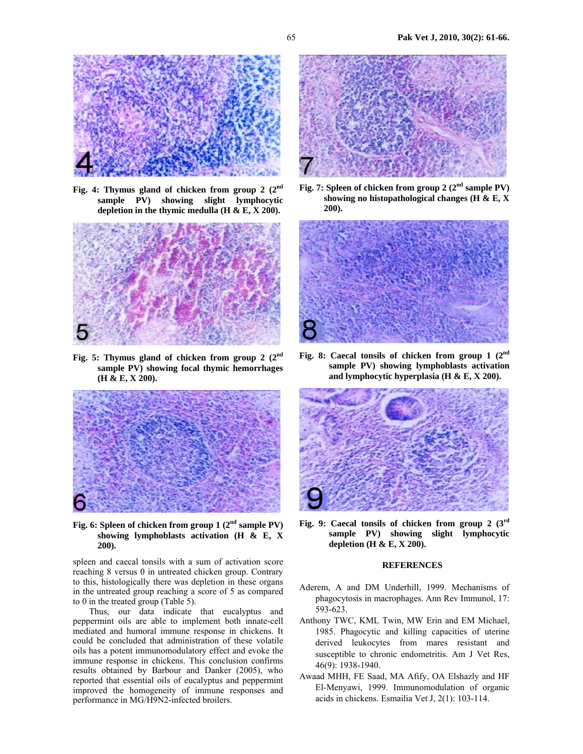

**Fig. 4: Thymus gland of chicken from group 2 (2nd sample PV) showing slight lymphocytic depletion in the thymic medulla (H & E, X 200).** 



**Fig. 5: Thymus gland of chicken from group 2 (2nd sample PV) showing focal thymic hemorrhages (H & E, X 200).** 



**Fig. 6: Spleen of chicken from group 1 (2nd sample PV) showing lymphoblasts activation (H & E, X 200).** 

spleen and caecal tonsils with a sum of activation score reaching 8 versus 0 in untreated chicken group. Contrary to this, histologically there was depletion in these organs in the untreated group reaching a score of 5 as compared to 0 in the treated group (Table 5).

Thus, our data indicate that eucalyptus and peppermint oils are able to implement both innate-cell mediated and humoral immune response in chickens. It could be concluded that administration of these volatile oils has a potent immunomodulatory effect and evoke the immune response in chickens. This conclusion confirms results obtained by Barbour and Danker (2005), who reported that essential oils of eucalyptus and peppermint improved the homogeneity of immune responses and performance in MG/H9N2-infected broilers.



**Fig. 7: Spleen of chicken from group 2 (2nd sample PV) showing no histopathological changes (H & E, X 200).** 



**Fig. 8: Caecal tonsils of chicken from group 1 (2nd sample PV) showing lymphoblasts activation and lymphocytic hyperplasia (H & E, X 200).** 



**Fig. 9: Caecal tonsils of chicken from group 2 (3rd sample PV) showing slight lymphocytic depletion (H & E, X 200).** 

## **REFERENCES**

- Aderem, A and DM Underhill, 1999. Mechanisms of phagocytosis in macrophages. Ann Rev Immunol, 17: 593-623.
- Anthony TWC, KML Twin, MW Erin and EM Michael, 1985. Phagocytic and killing capacities of uterine derived leukocytes from mares resistant and susceptible to chronic endometritis. Am J Vet Res, 46(9): 1938-1940.
- Awaad MHH, FE Saad, MA Afify, OA Elshazly and HF El-Menyawi, 1999. Immunomodulation of organic acids in chickens. Esmailia Vet J, 2(1): 103-114.